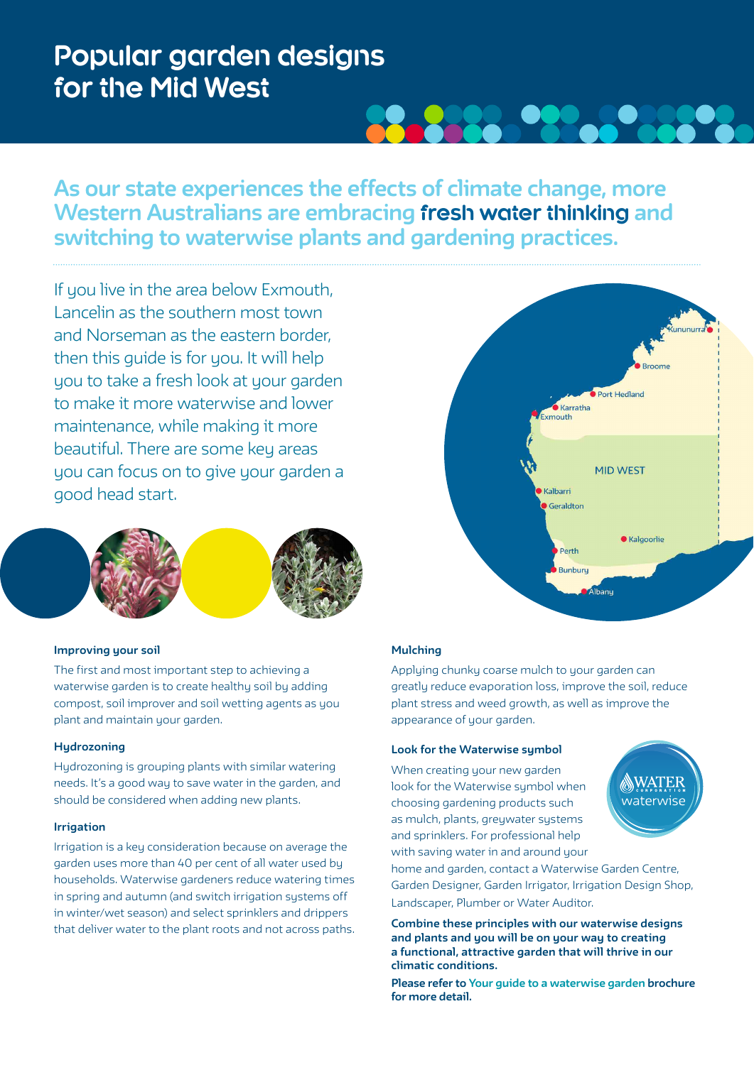# **Popular garden designs for the Mid West**

# **As our state experiences the effects of climate change, more Western Australians are embracing fresh water thinking and switching to waterwise plants and gardening practices.**

**22224** 

If you live in the area below Exmouth, Lancelin as the southern most town and Norseman as the eastern border, then this guide is for you. It will help you to take a fresh look at your garden to make it more waterwise and lower maintenance, while making it more beautiful. There are some key areas you can focus on to give your garden a good head start.



# **Improving your soil**

The first and most important step to achieving a waterwise garden is to create healthy soil by adding compost, soil improver and soil wetting agents as you plant and maintain your garden.

# **Hydrozoning**

Hydrozoning is grouping plants with similar watering needs. It's a good way to save water in the garden, and should be considered when adding new plants.

#### **Irrigation**

Irrigation is a key consideration because on average the garden uses more than 40 per cent of all water used by households. Waterwise gardeners reduce watering times in spring and autumn (and switch irrigation systems off in winter/wet season) and select sprinklers and drippers that deliver water to the plant roots and not across paths.



# **Mulching**

Applying chunky coarse mulch to your garden can greatly reduce evaporation loss, improve the soil, reduce plant stress and weed growth, as well as improve the appearance of your garden.

#### **Look for the Waterwise symbol**

When creating your new garden look for the Waterwise symbol when choosing gardening products such as mulch, plants, greywater systems and sprinklers. For professional help with saving water in and around your



home and garden, contact a Waterwise Garden Centre, Garden Designer, Garden Irrigator, Irrigation Design Shop, Landscaper, Plumber or Water Auditor.

**Combine these principles with our waterwise designs and plants and you will be on your way to creating a functional, attractive garden that will thrive in our climatic conditions.** 

**Please refer to Your guide to a waterwise garden brochure for more detail.**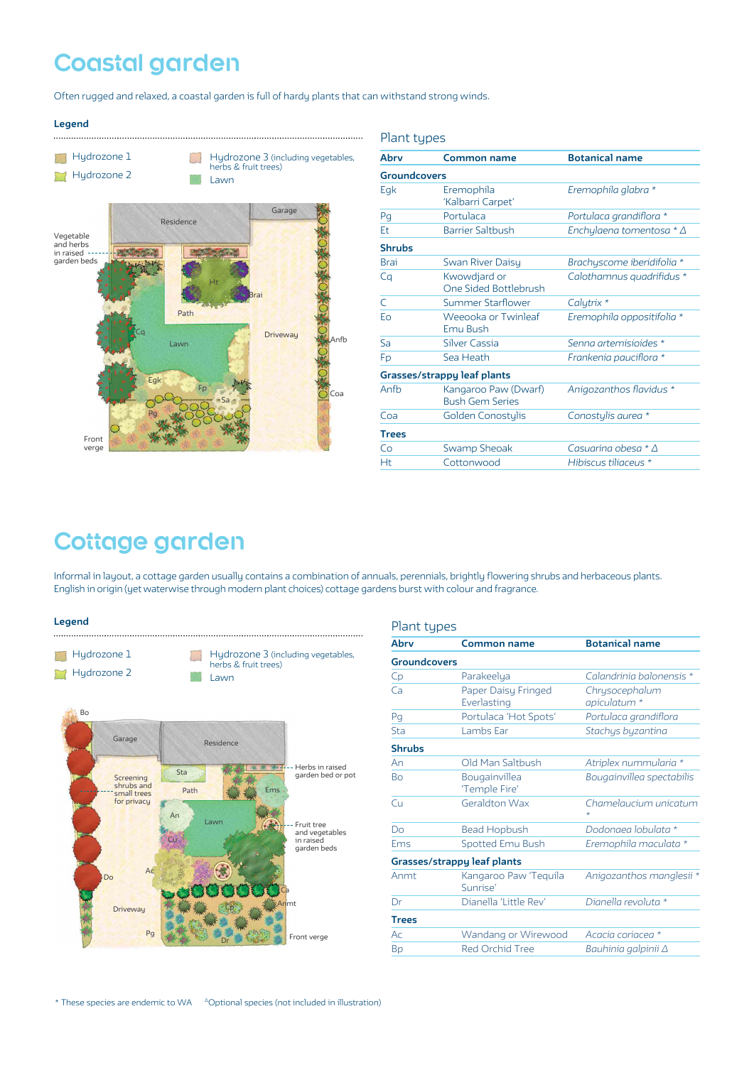# **Coastal garden**

Often rugged and relaxed, a coastal garden is full of hardy plants that can withstand strong winds.



| Abrv                        | Common name                                    | <b>Botanical name</b>          |  |  |
|-----------------------------|------------------------------------------------|--------------------------------|--|--|
| <b>Groundcovers</b>         |                                                |                                |  |  |
| Eqk                         | Eremophila<br>'Kalbarri Carpet'                | Eremophila glabra *            |  |  |
| Pq                          | Portulaca                                      | Portulaca grandiflora *        |  |  |
| Et                          | <b>Barrier Saltbush</b>                        | Enchylaena tomentosa $*\Delta$ |  |  |
| <b>Shrubs</b>               |                                                |                                |  |  |
| <b>Brai</b>                 | Swan River Daisy                               | Brachyscome iberidifolia *     |  |  |
| Cq                          | Kwowdjard or<br>One Sided Bottlebrush          | Calothamnus quadrifidus *      |  |  |
| $\subset$                   | Summer Starflower                              | Calytrix *                     |  |  |
| Eo                          | Weeooka or Twinleaf<br>Emu Bush                | Eremophila oppositifolia *     |  |  |
| Sa                          | <b>Silver Cassia</b>                           | Senna artemisioides *          |  |  |
| Fp                          | Sea Heath                                      | Frankenia pauciflora *         |  |  |
| Grasses/strappy leaf plants |                                                |                                |  |  |
| Anfh                        | Kangaroo Paw (Dwarf)<br><b>Bush Gem Series</b> | Anigozanthos flavidus *        |  |  |
| Coa                         | Golden Conostylis                              | Conostylis aurea *             |  |  |
| <b>Trees</b>                |                                                |                                |  |  |
| Co                          | Swamp Sheoak                                   | Casuarina obesa * $\Delta$     |  |  |
| Ht                          | Cottonwood                                     | Hibiscus tiliaceus *           |  |  |

# **Cottage garden**

Informal in layout, a cottage garden usually contains a combination of annuals, perennials, brightly flowering shrubs and herbaceous plants. English in origin (yet waterwise through modern plant choices) cottage gardens burst with colour and fragrance.

Plant types

#### **Legend**



| Plant types         |                                    |                                  |
|---------------------|------------------------------------|----------------------------------|
| Abry                | Common name                        | <b>Botanical name</b>            |
| <b>Groundcovers</b> |                                    |                                  |
| Cp                  | Parakeelya                         | Calandrinia balonensis *         |
| Ca                  | Paper Daisy Fringed<br>Everlasting | Chrysocephalum<br>apiculatum *   |
| Pq                  | Portulaca 'Hot Spots'              | Portulaca grandiflora            |
| Sta                 | Lambs Ear                          | Stachys byzantina                |
| <b>Shrubs</b>       |                                    |                                  |
| An                  | Old Man Saltbush                   | Atriplex nummularia *            |
| <b>Bo</b>           | Bougainvillea<br>'Temple Fire'     | Bougainvillea spectabilis        |
| Cu                  | Geraldton Wax                      | Chamelaucium unicatum<br>$\star$ |
| Do                  | <b>Bead Hopbush</b>                | Dodonaea lobulata *              |
| Ems                 | Spotted Emu Bush                   | Eremophila maculata *            |
|                     | Grasses/strappy leaf plants        |                                  |
| Anmt                | Kangaroo Paw 'Teguila<br>Sunrise'  | Anigozanthos manglesii *         |
| Dr                  | Dianella 'Little Rev'              | Dianella revoluta *              |
| <b>Trees</b>        |                                    |                                  |
| Ac                  | Wandang or Wirewood                | Acacia coriacea *                |
| Bp                  | <b>Red Orchid Tree</b>             | Bauhinia galpinii $\Delta$       |
|                     |                                    |                                  |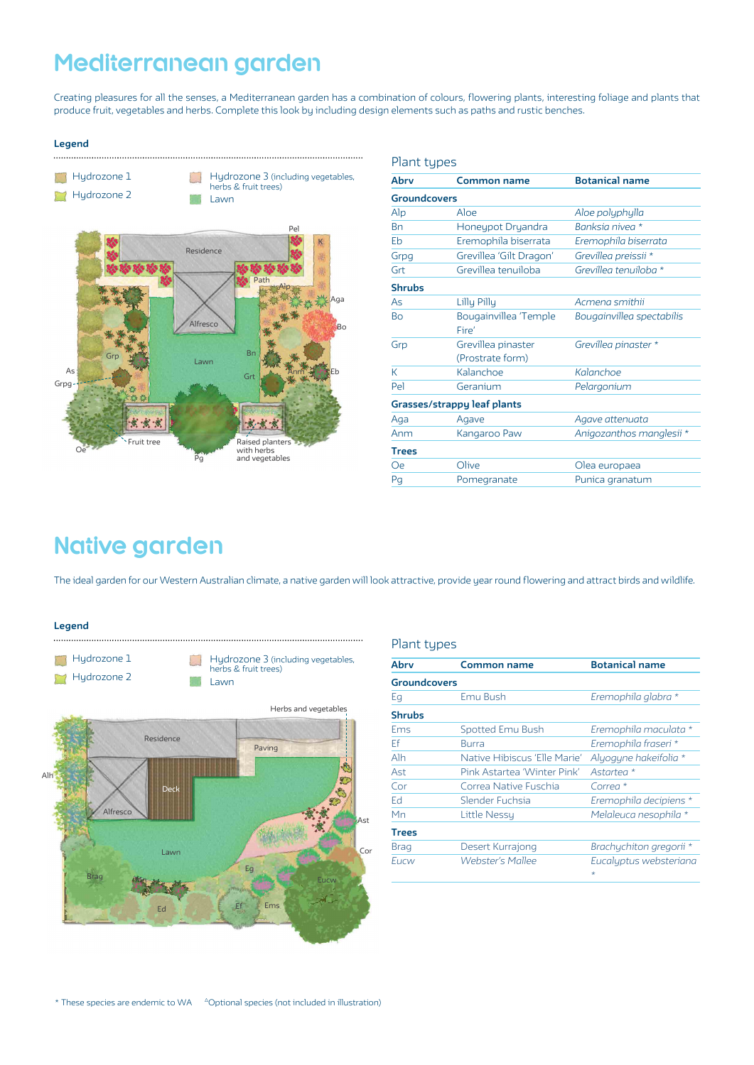# **Mediterranean garden**

Creating pleasures for all the senses, a Mediterranean garden has a combination of colours, flowering plants, interesting foliage and plants that produce fruit, vegetables and herbs. Complete this look by including design elements such as paths and rustic benches.

#### **Legend**



| Plant types         |                                        |                           |  |  |
|---------------------|----------------------------------------|---------------------------|--|--|
| Abry                | <b>Common name</b>                     | <b>Botanical name</b>     |  |  |
| <b>Groundcovers</b> |                                        |                           |  |  |
| Alp                 | Also                                   | Aloe polyphylla           |  |  |
| Bn                  | Honeypot Dryandra                      | Banksia nivea *           |  |  |
| Eb                  | Eremophila biserrata                   | Eremophila biserrata      |  |  |
| Grpg                | Grevillea 'Gilt Dragon'                | Grevillea preissii *      |  |  |
| Grt                 | Grevillea tenuiloba                    | Grevillea tenuiloba *     |  |  |
| <b>Shrubs</b>       |                                        |                           |  |  |
| As                  | Lilly Pilly                            | Acmena smithii            |  |  |
| <b>Bo</b>           | Bougainvillea 'Temple<br>Fire'         | Bougainvillea spectabilis |  |  |
| Grp                 | Grevillea pinaster<br>(Prostrate form) | Grevillea pinaster *      |  |  |
| К                   | Kalanchoe                              | Kalanchoe                 |  |  |
| Pel                 | Geranium                               | Pelargonium               |  |  |
|                     | Grasses/strappy leaf plants            |                           |  |  |
| Aga                 | Agave                                  | Agave attenuata           |  |  |
| Anm                 | Kangaroo Paw                           | Anigozanthos manglesii *  |  |  |
| <b>Trees</b>        |                                        |                           |  |  |
| Оe                  | Olive                                  | Olea europaea             |  |  |
| Pg                  | Pomegranate                            | Punica granatum           |  |  |
|                     |                                        |                           |  |  |

# **Native garden**

The ideal garden for our Western Australian climate, a native garden will look attractive, provide year round flowering and attract birds and wildlife.

Hydrozone 3 (including vegetables,

**Legend**  $\cdots$ 

**Hydrozone 1** 



#### Plant types

| Abry                | Common name                  | <b>Botanical name</b>             |
|---------------------|------------------------------|-----------------------------------|
| <b>Groundcovers</b> |                              |                                   |
| Eg                  | Emu Bush                     | Eremophila glabra *               |
| <b>Shrubs</b>       |                              |                                   |
| Ems                 | Spotted Emu Bush             | Eremophila maculata *             |
| Ef                  | Burra                        | Eremophila fraseri *              |
| Alh                 | Native Hibiscus 'Elle Marie' | Alyogyne hakeifolia *             |
| Ast                 | Pink Astartea 'Winter Pink'  | Astartea *                        |
| Cor                 | Correa Native Euschia        | Correa $*$                        |
| Ed                  | Slender Fuchsia              | Eremophila decipiens *            |
| Mn                  | Little Nessu                 | Melaleuca nesophila *             |
| <b>Trees</b>        |                              |                                   |
| <b>Brag</b>         | Desert Kurrajong             | Brachychiton gregorii *           |
| Eucw                | Webster's Mallee             | Eucalyptus websteriana<br>$\star$ |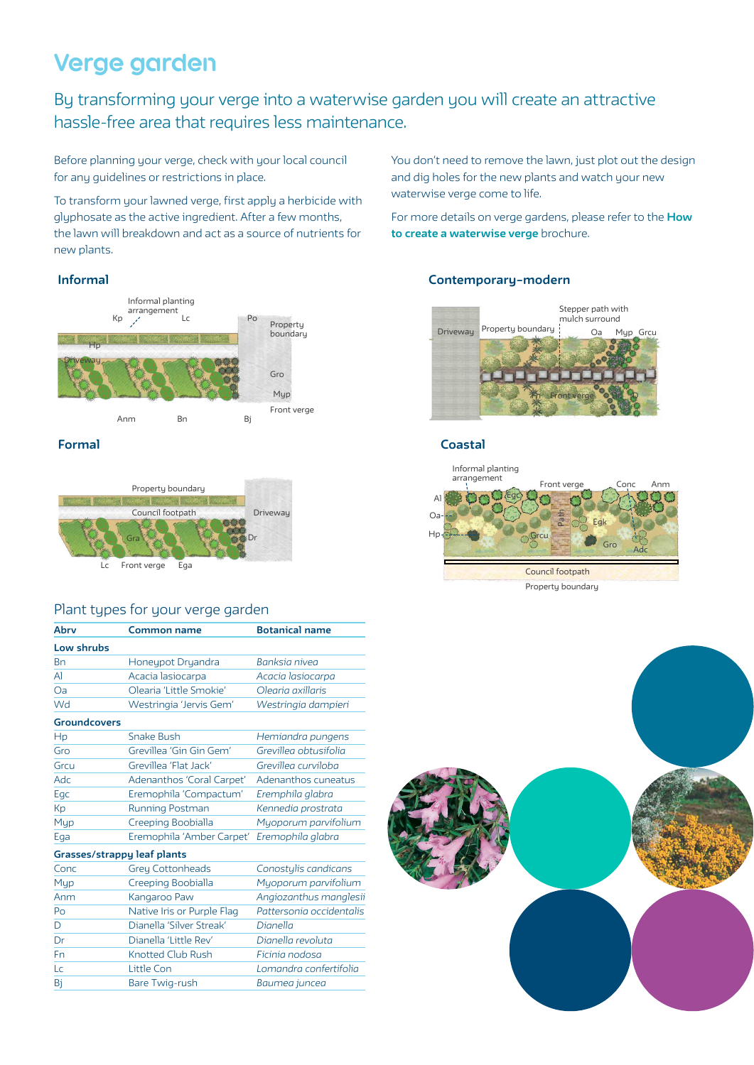# **Verge garden**

# By transforming your verge into a waterwise garden you will create an attractive hassle-free area that requires less maintenance.

Before planning your verge, check with your local council for any guidelines or restrictions in place.

To transform your lawned verge, first apply a herbicide with glyphosate as the active ingredient. After a few months, the lawn will breakdown and act as a source of nutrients for new plants.

# **Informal**





# Plant types for your verge garden

| Abry                        | Common name                | <b>Botanical name</b>    |
|-----------------------------|----------------------------|--------------------------|
| Low shrubs                  |                            |                          |
| Bn                          | Honeypot Dryandra          | Banksia nivea            |
| $\mathsf{A}$                | Acacia lasiocarpa          | Acacia lasiocarpa        |
| Oa                          | Olearia 'Little Smokie'    | Olegria axillaris        |
| Wd                          | Westringia 'Jervis Gem'    | Westringia dampieri      |
| <b>Groundcovers</b>         |                            |                          |
| Hp                          | <b>Snake Bush</b>          | Hemiandra pungens        |
| Gro                         | Grevillea 'Gin Gin Gem'    | Grevillea obtusifolia    |
| Grcu                        | Grevillea 'Flat Jack'      | Grevillea curviloba      |
| Adc                         | Adenanthos 'Coral Carpet'  | Adenanthos cuneatus      |
| Egc                         | Eremophila 'Compactum'     | Eremphila glabra         |
| Кp                          | Running Postman            | Kennedia prostrata       |
| Myp                         | Creeping Boobialla         | Myoporum parvifolium     |
| Ega                         | Eremophila 'Amber Carpet'  | Eremophila glabra        |
| Grasses/strappy leaf plants |                            |                          |
| Conc                        | <b>Grey Cottonheads</b>    | Conostylis candicans     |
| Myp                         | Creeping Boobialla         | Myoporum parvifolium     |
| Anm                         | Kangaroo Paw               | Angiozanthus manglesii   |
| Po                          | Native Iris or Purple Flag | Pattersonia occidentalis |
| D                           | Dianella 'Silver Streak'   | Dianella                 |
| Dr                          | Dianella 'Little Rev'      | Dianella revoluta        |
| Fn                          | <b>Knotted Club Rush</b>   | Ficinia nodosa           |
| Lc                          | Little Con                 | Lomandra confertifolia   |
| Bi                          | Bare Twig-rush             | Baumea juncea            |

You don't need to remove the lawn, just plot out the design and dig holes for the new plants and watch your new waterwise verge come to life.

For more details on verge gardens, please refer to the **How to create a waterwise verge** brochure.

# **Contemporary–modern**



# **Formal Coastal**